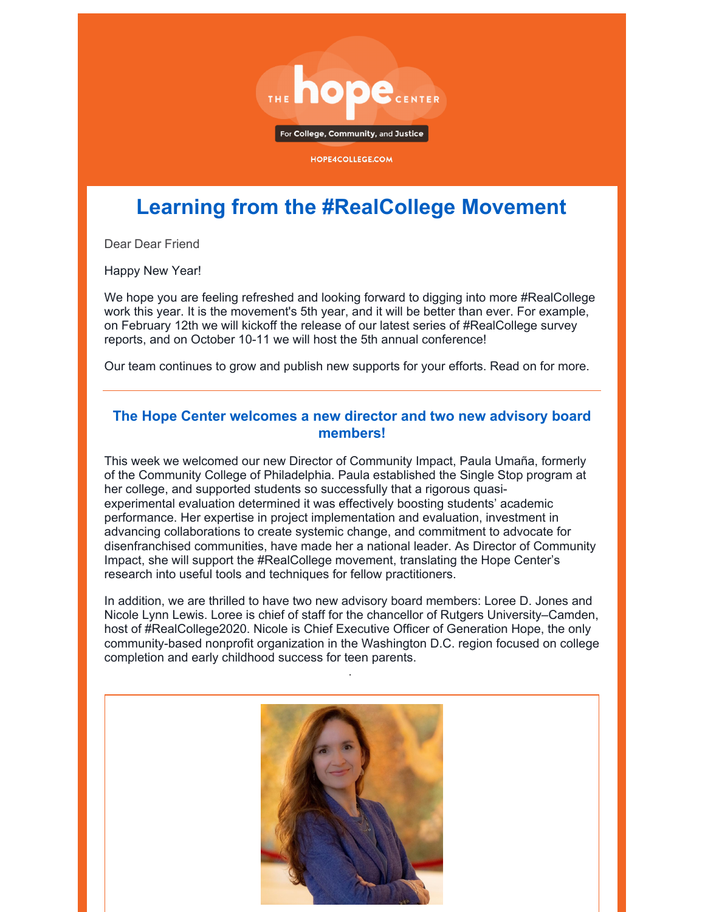

HOPE4COLLEGE.COM

# **Learning from the #RealCollege Movement**

Dear Dear Friend

Happy New Year!

We hope you are feeling refreshed and looking forward to digging into more #RealCollege work this year. It is the movement's 5th year, and it will be better than ever. For example, on February 12th we will kickoff the release of our latest series of #RealCollege survey reports, and on October 10-11 we will host the 5th annual conference!

Our team continues to grow and publish new supports for your efforts. Read on for more.

### **The Hope Center welcomes a new director and two new advisory board members!**

This week we welcomed our new Director of Community Impact, Paula Umaña, formerly of the Community College of Philadelphia. Paula established the Single Stop program at her college, and supported students so successfully that a rigorous quasiexperimental evaluation determined it was effectively boosting students' academic performance. Her expertise in project implementation and evaluation, investment in advancing collaborations to create systemic change, and commitment to advocate for disenfranchised communities, have made her a national leader. As Director of Community Impact, she will support the #RealCollege movement, translating the Hope Center's research into useful tools and techniques for fellow practitioners.

In addition, we are thrilled to have two new advisory board members: Loree D. Jones and Nicole Lynn Lewis. Loree is chief of staff for the chancellor of Rutgers University–Camden, host of #RealCollege2020. Nicole is Chief Executive Officer of Generation Hope, the only community-based nonprofit organization in the Washington D.C. region focused on college completion and early childhood success for teen parents.

.

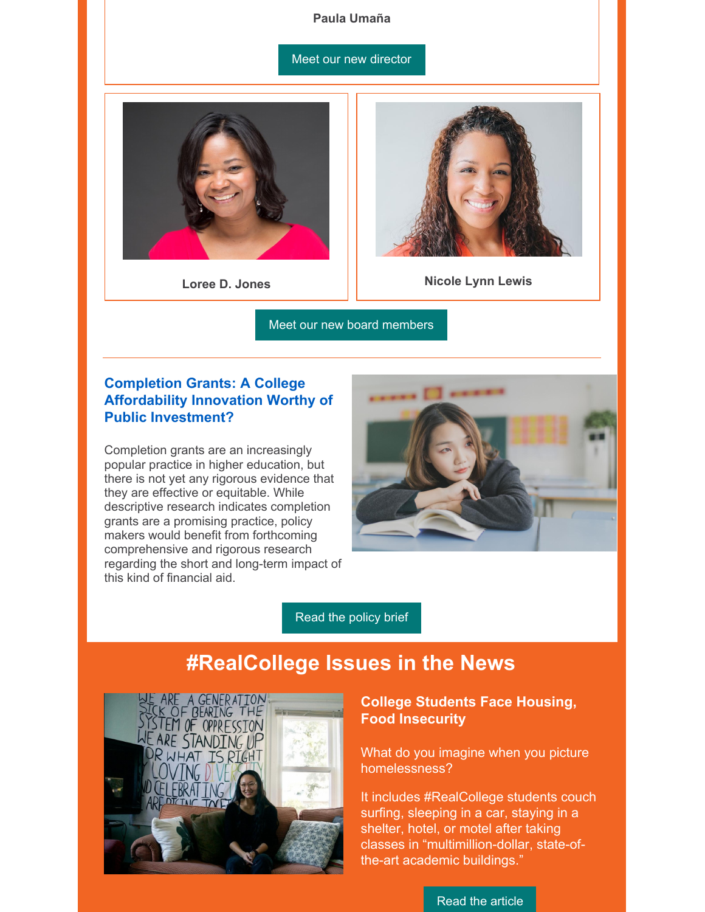#### **Paula Umaña**

Meet our new [director](https://hope4college.com/team/leadership/)





**Loree D.** Jones **Nicole** Lynn Lewis

Meet our new board [members](https://hope4college.com/hope-welcomes-two-new-advisory-board-members-for-2020/)

# **Completion Grants: A College Affordability Innovation Worthy of Public Investment?**

Completion grants are an increasingly popular practice in higher education, but there is not yet any rigorous evidence that they are effective or equitable. While descriptive research indicates completion grants are a promising practice, policy makers would benefit from forthcoming comprehensive and rigorous research regarding the short and long-term impact of this kind of financial aid.



Read the [policy](https://hope4college.com/wp-content/uploads/2019/12/Completion-Grant-Policy-Brief-layout-v3-12-12-19.pdf) brief

# **#RealCollege Issues in the News**



### **College Students Face Housing, Food Insecurity**

What do you imagine when you picture homelessness?

It includes #RealCollege students couch surfing, sleeping in a car, staying in a shelter, hotel, or motel after taking classes in "multimillion-dollar, state-ofthe-art academic buildings."

#### Read the [article](https://www.seacoastonline.com/news/20191222/college-students-face-housing-food-insecurity)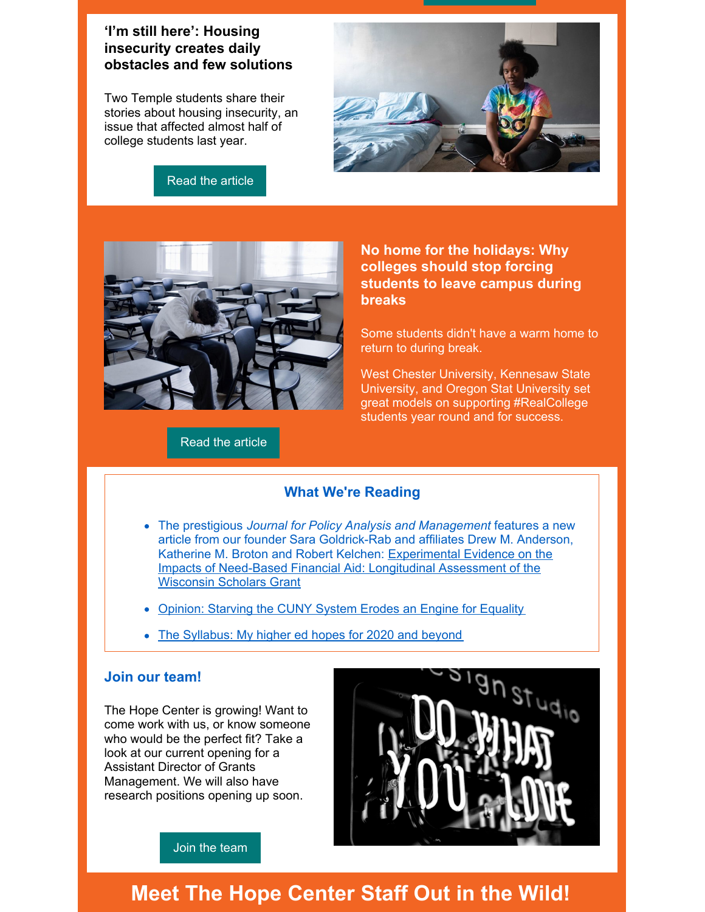# **'I'm still here': Housing insecurity creates daily obstacles and few solutions**

Two Temple students share their stories about housing insecurity, an issue that affected almost half of college students last year.



Read the [article](https://temple-news.com/im-still-here-housing-insecurity-creates-daily-obstacles-few-solutions-for-students/)



**No home for the holidays: Why colleges should stop forcing students to leave campus during breaks**

Some students didn't have a warm home to return to during break.

West Chester University, Kennesaw State University, and Oregon Stat University set great models on supporting [#RealCollege](https://twitter.com/hashtag/RealCollege?src=hashtag_click) students year round and for success.

# Read the [article](https://www.washingtonpost.com/education/2019/12/23/no-home-holidays-why-colleges-should-stop-forcing-students-leave-campus-during-breaks/)

# **What We're Reading**

- The prestigious *Journal for Policy Analysis and Management* features a new article from our founder Sara Goldrick-Rab and affiliates Drew M. Anderson, Katherine M. Broton and Robert Kelchen: [Experimental](https://onlinelibrary.wiley.com/doi/full/10.1002/pam.22190) Evidence on the Impacts of Need-Based Financial Aid: Longitudinal Assessment of the Wisconsin Scholars Grant
- [Opinion:](https://citylimits.org/2019/12/18/opinion-starving-the-cuny-system-erodes-an-engine-for-equality/) Starving the CUNY System Erodes an Engine for Equality
- The [Syllabus:](https://www.greensboro.com/blogs/the_syllabus/the-syllabus-my-higher-ed-hopes-for-and-beyond/article_19ef66e2-9b2c-5778-9a8d-c62c1b6c8854.html) My higher ed hopes for 2020 and beyond

#### **Join our team!**

The Hope Center is growing! Want to come work with us, or know someone who would be the perfect fit? Take a look at our current opening for a Assistant Director of Grants Management. We will also have research positions opening up soon.

Join the [team](https://hope4college.com/join-our-team/)



# **Meet The Hope Center Staff Out in the Wild!**